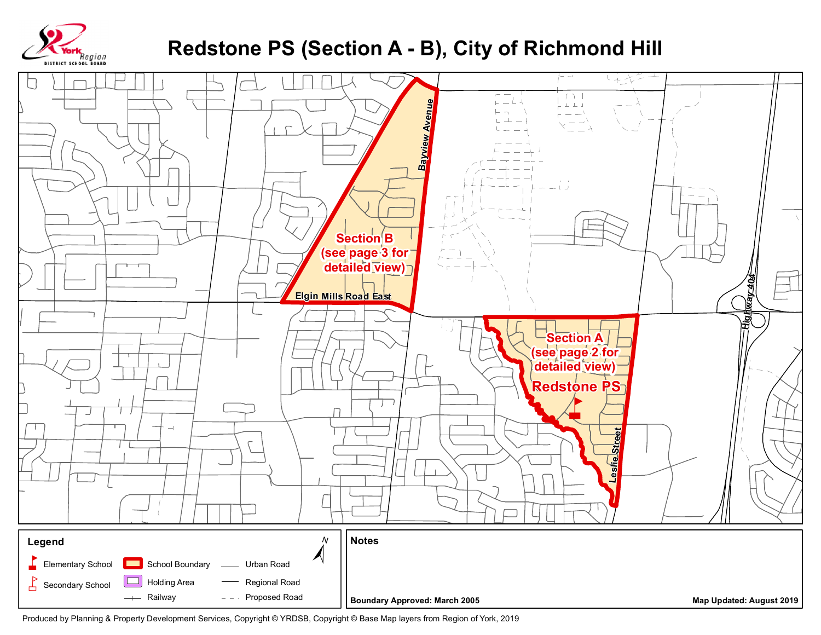

## Redstone PS (Section A - B), City of Richmond Hill



Produced by Planning & Property Development Services, Copyright @ YRDSB, Copyright @ Base Map layers from Region of York, 2019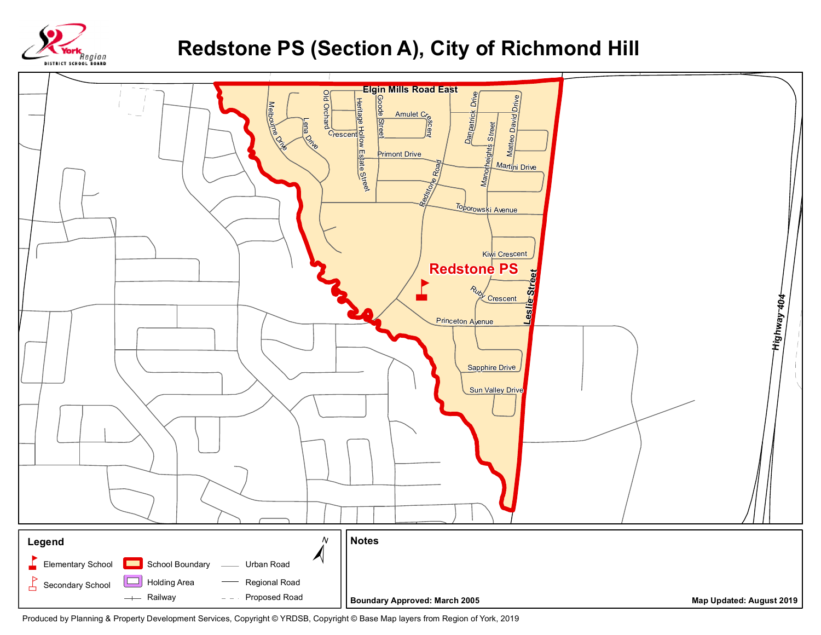

## Redstone PS (Section A), City of Richmond Hill



Produced by Planning & Property Development Services, Copyright @ YRDSB, Copyright @ Base Map layers from Region of York, 2019